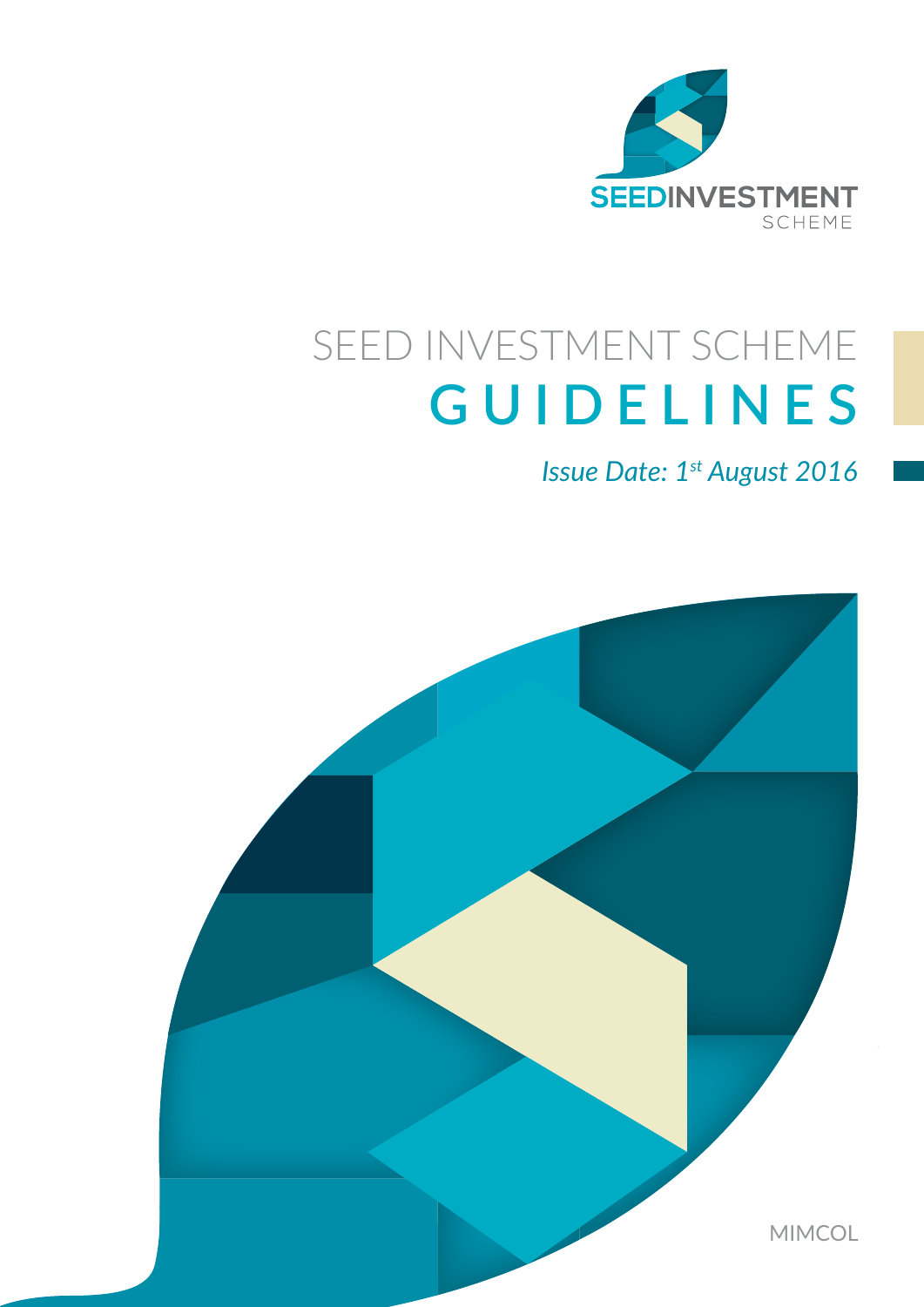

### SEED INVESTMENT SCHEME **GUIDELINES**

*Issue Date: 1st August 2016*

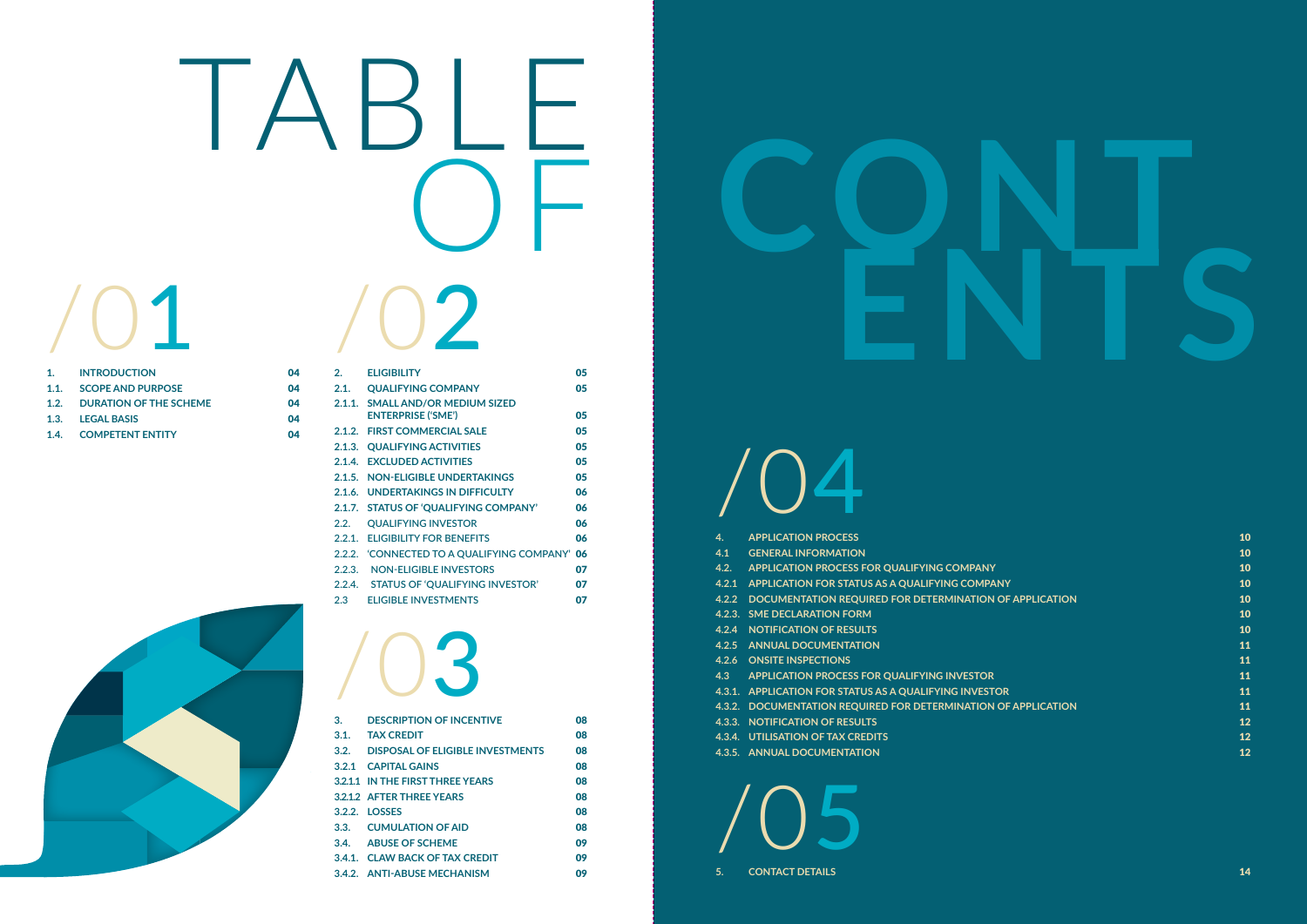- **4.3 APPLICATION PROCESS FOR QUALIFYING INVESTOR** 11
- **4.3.1. APPLICATION FOR STATUS AS A QUALIFYING INVES**
- **4.3.2. DOCUMENTATION REQUIRED FOR DETERMINATION**
- **4.3.3. NOTIFICATION OF RESULTS**
- **4.3.4. UTILISATION OF TAX CREDITS**
- **4.3.5. ANNUAL DOCUMENTATION**

|     | 4.2.1 APPLICATION FOR STATUS AS A QUALIFYING COMPANY           | 10                       |
|-----|----------------------------------------------------------------|--------------------------|
|     | 4.2.2 DOCUMENTATION REQUIRED FOR DETERMINATION OF APPLICATION  | 10                       |
|     | <b>4.2.3. SME DECLARATION FORM</b>                             | 10                       |
|     | <b>4.2.4 NOTIFICATION OF RESULTS</b>                           | 10                       |
|     | <b>4.2.5 ANNUAL DOCUMENTATION</b>                              | 11                       |
|     | <b>4.2.6 ONSITE INSPECTIONS</b>                                | 11                       |
| 4.3 | <b>APPLICATION PROCESS FOR QUALIFYING INVESTOR</b>             | 11                       |
|     | 4.3.1. APPLICATION FOR STATUS AS A QUALIFYING INVESTOR         | 11                       |
|     | 4.3.2. DOCUMENTATION REQUIRED FOR DETERMINATION OF APPLICATION | 11                       |
|     | <b>4.3.3. NOTIFICATION OF RESULTS</b>                          | $\overline{\mathbf{12}}$ |
|     | <b>4.3.4. UTILISATION OF TAX CREDITS</b>                       | 12                       |
|     | <b>A 2 E ANINITAL DOCUMENTATION</b>                            | $\mathbf{4}\mathbf{2}$   |

| 3.   | <b>DESCRIPTION OF INCENTIVE</b>       | 80 |
|------|---------------------------------------|----|
| 3.1. | <b>TAX CREDIT</b>                     | 80 |
|      | 3.2. DISPOSAL OF ELIGIBLE INVESTMENTS | 08 |
|      | 3.2.1 CAPITAL GAINS                   | 08 |
|      | 3.2.1.1 IN THE FIRST THREE YEARS      | 08 |
|      | <b>3.2.1.2 AFTER THREE YEARS</b>      | 08 |
|      | 3.2.2. LOSSES                         | 08 |
|      | 3.3. CUMULATION OF AID                | 08 |
|      | 3.4. ABUSE OF SCHEME                  | 09 |
|      | 3.4.1. CLAW BACK OF TAX CREDIT        | 09 |
|      | 3.4.2. ANTI-ABUSE MECHANISM           | 09 |
|      |                                       |    |

| $\mathbf{1}$ . | <b>INTRODUCTION</b>           | 04 |
|----------------|-------------------------------|----|
| 1.1.           | <b>SCOPE AND PURPOSE</b>      | 04 |
| 1.2.           | <b>DURATION OF THE SCHEME</b> | 04 |
| 1.3.           | <b>LEGAL BASIS</b>            | 04 |
|                | 1.4. COMPETENT ENTITY         | 04 |

## /01

## /03

## /04

| 4.   | <b>APPLICATION PROCESS</b>                                    | 10             |
|------|---------------------------------------------------------------|----------------|
| 4.1  | <b>GENERAL INFORMATION</b>                                    | 10             |
| 4.2. | APPLICATION PROCESS FOR QUALIFYING COMPANY                    | 10             |
|      | 4.2.1 APPLICATION FOR STATUS AS A QUALIFYING COMPANY          | 10             |
|      | 4.2.2 DOCUMENTATION REQUIRED FOR DETERMINATION OF APPLICATION | 10             |
|      | 4.2.3. SME DECLARATION FORM                                   | 10             |
|      | <b>4.2.4 NOTIFICATION OF RESULTS</b>                          | 10             |
|      | <b>4.2.5 ANNUAL DOCUMENTATION</b>                             | 11             |
|      | <b>4.2.6 ONSITE INSPECTIONS</b>                               | 11             |
|      | 4.0 A DDLICATION DDOCECC FOD OUALIEVING INVECTOR              | $\overline{A}$ |

# /02 TABLE

| 2.     | <b>ELIGIBILITY</b>                                            | 05 |
|--------|---------------------------------------------------------------|----|
| 2.1.   | <b>QUALIFYING COMPANY</b>                                     | 05 |
|        | 2.1.1. SMALL AND/OR MEDIUM SIZED<br><b>ENTERPRISE ('SME')</b> | 05 |
|        | 2.1.2. FIRST COMMERCIAL SALE                                  | 05 |
| 2.1.3. | <b>QUALIFYING ACTIVITIES</b>                                  | 05 |
| 2.1.4. | <b>EXCLUDED ACTIVITIES</b>                                    | 05 |
| 2.1.5. | <b>NON-ELIGIBLE UNDERTAKINGS</b>                              | 05 |
|        | 2.1.6. UNDERTAKINGS IN DIFFICULTY                             | 06 |
| 2.1.7. | <b>STATUS OF 'QUALIFYING COMPANY'</b>                         | 06 |
| 2.2.   | <b>QUALIFYING INVESTOR</b>                                    | 06 |
|        | 2.2.1. ELIGIBILITY FOR BENEFITS                               | 06 |
| 2.2.2. | 'CONNECTED TO A QUALIFYING COMPANY'                           | 06 |
| 2.2.3. | <b>NON-ELIGIBLE INVESTORS</b>                                 | 07 |
| 2.2.4. | <b>STATUS OF 'QUALIFYING INVESTOR'</b>                        | 07 |
| 2.3    | <b>ELIGIBLE INVESTMENTS</b>                                   | 07 |





/05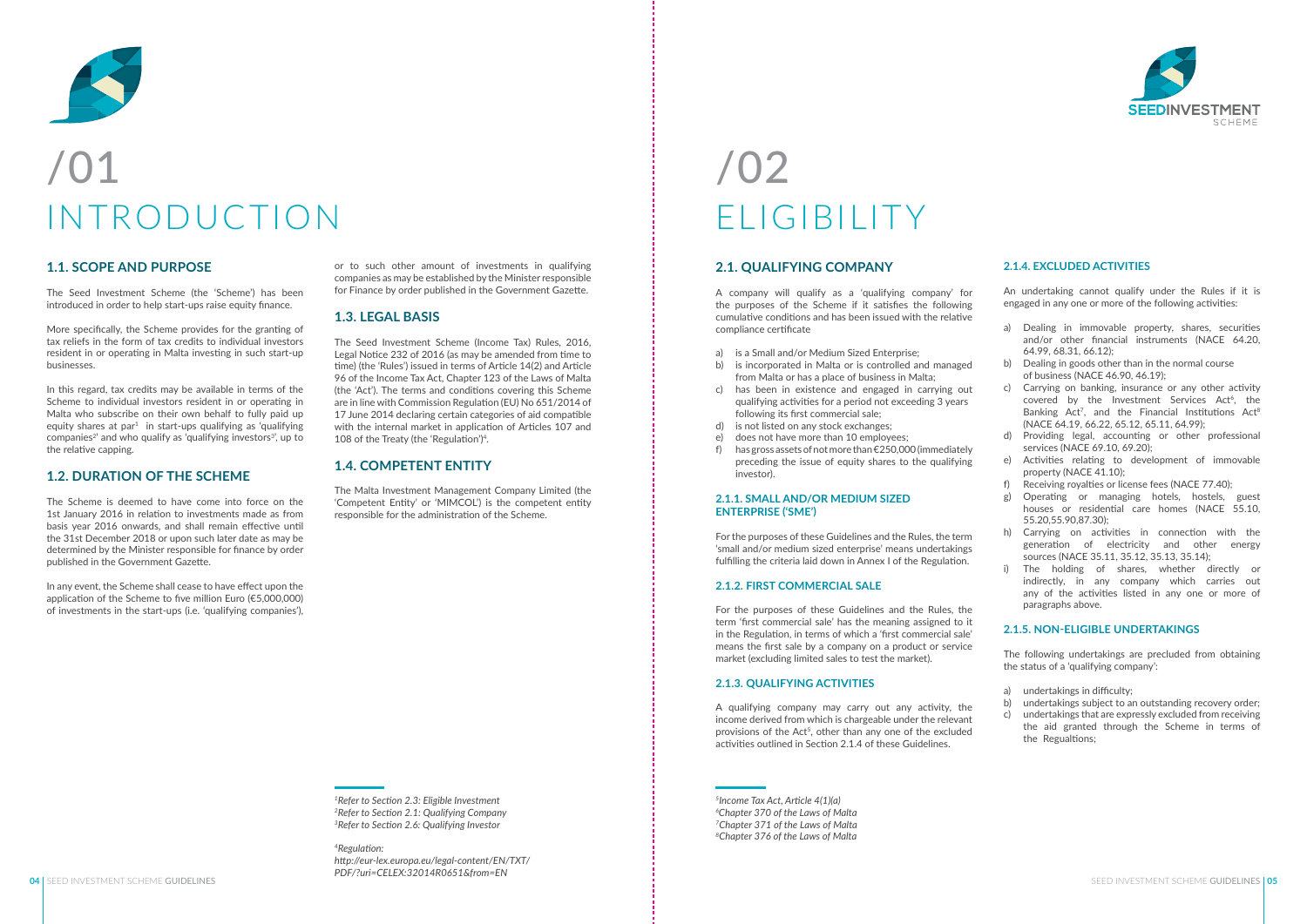#### **1.1. SCOPE AND PURPOSE**

The Seed Investment Scheme (the 'Scheme') has been introduced in order to help start-ups raise equity finance.

More specifically, the Scheme provides for the granting of tax reliefs in the form of tax credits to individual investors resident in or operating in Malta investing in such start-up businesses.

In this regard, tax credits may be available in terms of the Scheme to individual investors resident in or operating in Malta who subscribe on their own behalf to fully paid up equity shares at par<sup>1</sup> in start-ups qualifying as 'qualifying  $companies<sup>2</sup>$  and who qualify as 'qualifying investors<sup>3'</sup>, up to the relative capping.

#### **1.2. DURATION OF THE SCHEME**

The Scheme is deemed to have come into force on the 1st January 2016 in relation to investments made as from basis year 2016 onwards, and shall remain effective until the 31st December 2018 or upon such later date as may be determined by the Minister responsible for finance by order published in the Government Gazette.

In any event, the Scheme shall cease to have effect upon the application of the Scheme to five million Euro (€5,000,000) of investments in the start-ups (i.e. 'qualifying companies'),

#### **2.1. QUALIFYING COMPANY**

A company will qualify as a 'qualifying company' for the purposes of the Scheme if it satisfies the following cumulative conditions and has been issued with the relative compliance certificate

- a) is a Small and/or Medium Sized Enterprise;
- b) is incorporated in Malta or is controlled and managed from Malta or has a place of business in Malta;
- c) has been in existence and engaged in carrying out qualifying activities for a period not exceeding 3 years following its first commercial sale;
- d) is not listed on any stock exchanges;
- e) does not have more than 10 employees;
- f) has gross assets of not more than €250,000 (immediately preceding the issue of equity shares to the qualifying investor).

#### **2.1.1. SMALL AND/OR MEDIUM SIZED ENTERPRISE ('SME')**

For the purposes of these Guidelines and the Rules, the term 'small and/or medium sized enterprise' means undertakings fulfilling the criteria laid down in Annex I of the Regulation.

#### **2.1.2. FIRST COMMERCIAL SALE**

For the purposes of these Guidelines and the Rules, the term 'first commercial sale' has the meaning assigned to it in the Regulation, in terms of which a 'first commercial sale' means the first sale by a company on a product or service market (excluding limited sales to test the market).

#### **2.1.3. QUALIFYING ACTIVITIES**

A qualifying company may carry out any activity, the income derived from which is chargeable under the relevant provisions of the Act<sup>5</sup>, other than any one of the excluded activities outlined in Section 2.1.4 of these Guidelines.

or to such other amount of investments in qualifying companies as may be established by the Minister responsible for Finance by order published in the Government Gazette.

#### **1.3. LEGAL BASIS**

The Seed Investment Scheme (Income Tax) Rules, 2016, Legal Notice 232 of 2016 (as may be amended from time to time) (the 'Rules') issued in terms of Article 14(2) and Article 96 of the Income Tax Act, Chapter 123 of the Laws of Malta (the 'Act'). The terms and conditions covering this Scheme are in line with Commission Regulation (EU) No 651/2014 of 17 June 2014 declaring certain categories of aid compatible with the internal market in application of Articles 107 and 108 of the Treaty (the 'Regulation')4.

#### **1.4. COMPETENT ENTITY**

The Malta Investment Management Company Limited (the 'Competent Entity' or 'MIMCOL') is the competent entity responsible for the administration of the Scheme.

*<sup>1</sup>Refer to Section 2.3: Eligible Investment <sup>2</sup>Refer to Section 2.1: Qualifying Company 3Refer to Section 2.6: Qualifying Investor*

#### *<sup>4</sup>Regulation: http://eur-lex.europa.eu/legal-content/EN/TXT/ PDF/?uri=CELEX:32014R0651&from=EN*

*5Income Tax Act, Article 4(1)(a) 6 Chapter 370 of the Laws of Malta 7Chapter 371 of the Laws of Malta <sup>8</sup>Chapter 376 of the Laws of Malta*



#### **2.1.4. EXCLUDED ACTIVITIES**

An undertaking cannot qualify under the Rules if it is engaged in any one or more of the following activities:

- a) Dealing in immovable property, shares, securities and/or other financial instruments (NACE 64.20, 64.99, 68.31, 66.12);
- b) Dealing in goods other than in the normal course of business (NACE 46.90, 46.19);
- c) Carrying on banking, insurance or any other activity covered by the Investment Services Act<sup>6</sup>, the Banking  $Act^7$ , and the Financial Institutions  $Act^8$ (NACE 64.19, 66.22, 65.12, 65.11, 64.99);
- d) Providing legal, accounting or other professional services (NACE 69.10, 69.20);
- e) Activities relating to development of immovable property (NACE 41.10);
- f) Receiving royalties or license fees (NACE 77.40);
- g) Operating or managing hotels, hostels, guest houses or residential care homes (NACE 55.10, 55.20,55.90,87.30);
- h) Carrying on activities in connection with the generation of electricity and other energy sources (NACE 35.11, 35.12, 35.13, 35.14);
- i) The holding of shares, whether directly or indirectly, in any company which carries out any of the activities listed in any one or more of paragraphs above.

#### **2.1.5. NON-ELIGIBLE UNDERTAKINGS**

The following undertakings are precluded from obtaining the status of a 'qualifying company':

- a) undertakings in difficulty;
- b) undertakings subject to an outstanding recovery order;
- c) undertakings that are expressly excluded from receiving the aid granted through the Scheme in terms of the Regualtions;



## /01 INTRODUCTION

### /02 ELIGIBILITY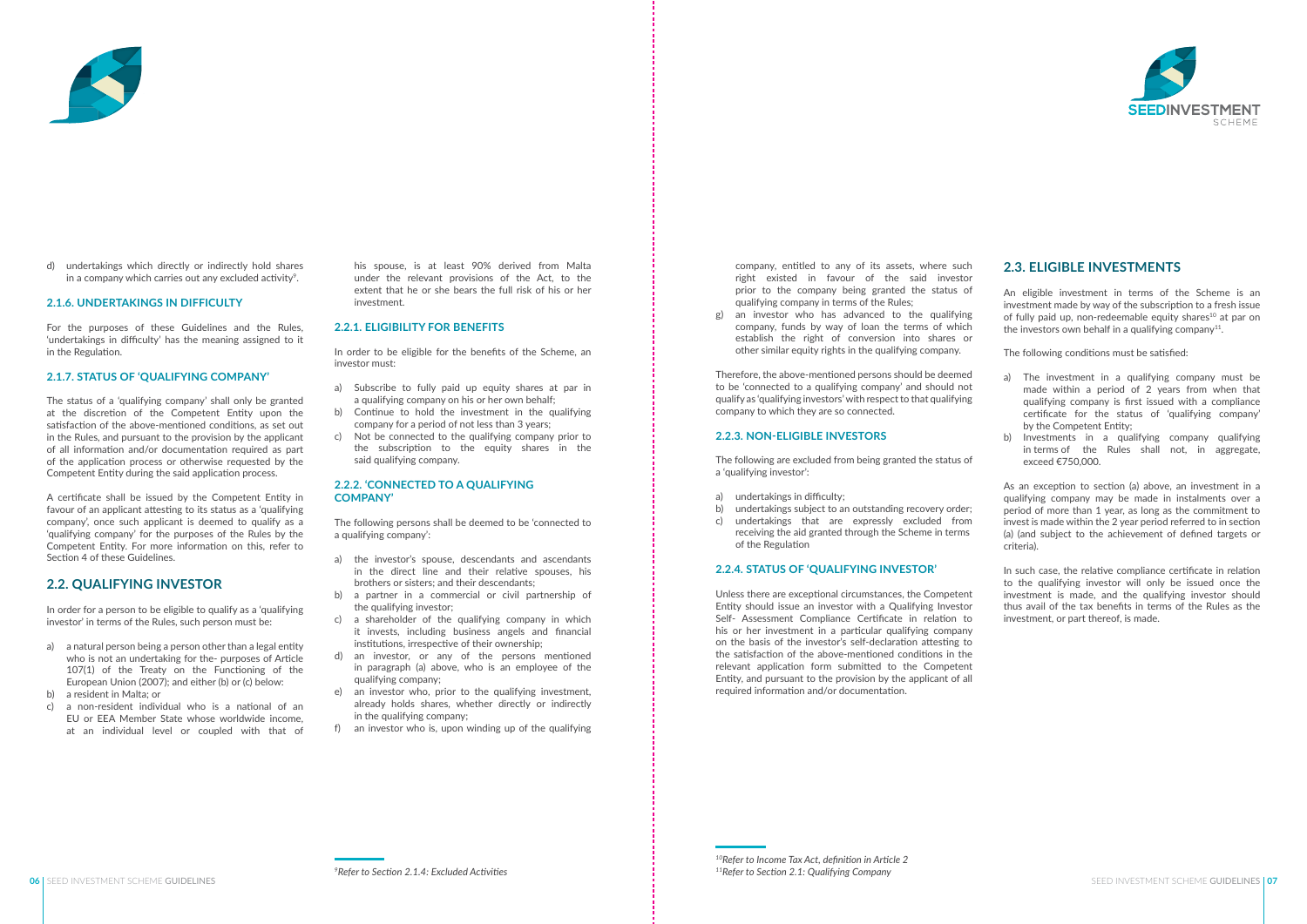his spouse, is at least 90% derived from Malta under the relevant provisions of the Act, to the extent that he or she bears the full risk of his or her investment.

#### **2.2.1. ELIGIBILITY FOR BENEFITS**

In order to be eligible for the benefits of the Scheme, an investor must:

- a) Subscribe to fully paid up equity shares at par in a qualifying company on his or her own behalf;
- b) Continue to hold the investment in the qualifying company for a period of not less than 3 years;
- c) Not be connected to the qualifying company prior to the subscription to the equity shares in the said qualifying company.

#### **2.2.2. 'CONNECTED TO A QUALIFYING COMPANY'**



d) undertakings which directly or indirectly hold shares in a company which carries out any excluded activity<sup>9</sup>.

> The following persons shall be deemed to be 'connected to a qualifying company':

- a) the investor's spouse, descendants and ascendants in the direct line and their relative spouses, his brothers or sisters; and their descendants;
- b) a partner in a commercial or civil partnership of the qualifying investor;
- c) a shareholder of the qualifying company in which it invests, including business angels and financial institutions, irrespective of their ownership;
- d) an investor, or any of the persons mentioned in paragraph (a) above, who is an employee of the qualifying company;
- e) an investor who, prior to the qualifying investment, already holds shares, whether directly or indirectly in the qualifying company;
- f) an investor who is, upon winding up of the qualifying

#### **2.1.6. UNDERTAKINGS IN DIFFICULTY**

For the purposes of these Guidelines and the Rules, 'undertakings in difficulty' has the meaning assigned to it in the Regulation.

#### **2.1.7. STATUS OF 'QUALIFYING COMPANY'**

The status of a 'qualifying company' shall only be granted at the discretion of the Competent Entity upon the satisfaction of the above-mentioned conditions, as set out in the Rules, and pursuant to the provision by the applicant of all information and/or documentation required as part of the application process or otherwise requested by the Competent Entity during the said application process.

An eligible investment in terms of the Scheme is an investment made by way of the subscription to a fresh issue of fully paid up, non-redeemable equity shares<sup>10</sup> at par on the investors own behalf in a qualifying company<sup>11</sup>.

A certificate shall be issued by the Competent Entity in favour of an applicant attesting to its status as a 'qualifying company', once such applicant is deemed to qualify as a 'qualifying company' for the purposes of the Rules by the Competent Entity. For more information on this, refer to Section 4 of these Guidelines.

#### **2.2. QUALIFYING INVESTOR**

In order for a person to be eligible to qualify as a 'qualifying investor' in terms of the Rules, such person must be:

- a) a natural person being a person other than a legal entity who is not an undertaking for the- purposes of Article 107(1) of the Treaty on the Functioning of the European Union (2007); and either (b) or (c) below:
- b) a resident in Malta; or
- c) a non-resident individual who is a national of an EU or EEA Member State whose worldwide income, at an individual level or coupled with that of

company, entitled to any of its assets, where such right existed in favour of the said investor prior to the company being granted the status of qualifying company in terms of the Rules;

g) an investor who has advanced to the qualifying company, funds by way of loan the terms of which establish the right of conversion into shares or other similar equity rights in the qualifying company.

Therefore, the above-mentioned persons should be deemed to be 'connected to a qualifying company' and should not qualify as 'qualifying investors' with respect to that qualifying company to which they are so connected.

#### **2.2.3. NON-ELIGIBLE INVESTORS**

The following are excluded from being granted the status of a 'qualifying investor':

- a) undertakings in difficulty;
- b) undertakings subject to an outstanding recovery order; c) undertakings that are expressly excluded from receiving the aid granted through the Scheme in terms of the Regulation

#### **2.2.4. STATUS OF 'QUALIFYING INVESTOR'**

Unless there are exceptional circumstances, the Competent Entity should issue an investor with a Qualifying Investor Self- Assessment Compliance Certificate in relation to his or her investment in a particular qualifying company on the basis of the investor's self-declaration attesting to the satisfaction of the above-mentioned conditions in the relevant application form submitted to the Competent Entity, and pursuant to the provision by the applicant of all required information and/or documentation.

#### **2.3. ELIGIBLE INVESTMENTS**

The following conditions must be satisfied:

- a) The investment in a qualifying company must be made within a period of 2 years from when that qualifying company is first issued with a compliance certificate for the status of 'qualifying company' by the Competent Entity;
- b) Investments in a qualifying company qualifying in terms of the Rules shall not, in aggregate, exceed €750,000.

As an exception to section (a) above, an investment in a qualifying company may be made in instalments over a period of more than 1 year, as long as the commitment to invest is made within the 2 year period referred to in section (a) (and subject to the achievement of defined targets or criteria).

In such case, the relative compliance certificate in relation to the qualifying investor will only be issued once the investment is made, and the qualifying investor should thus avail of the tax benefits in terms of the Rules as the investment, or part thereof, is made.

*<sup>10</sup>Refer to Income Tax Act, definition in Article 2 11Refer to Section 2.1: Qualifying Company 9Refer to Section 2.1.4: Excluded Activities*

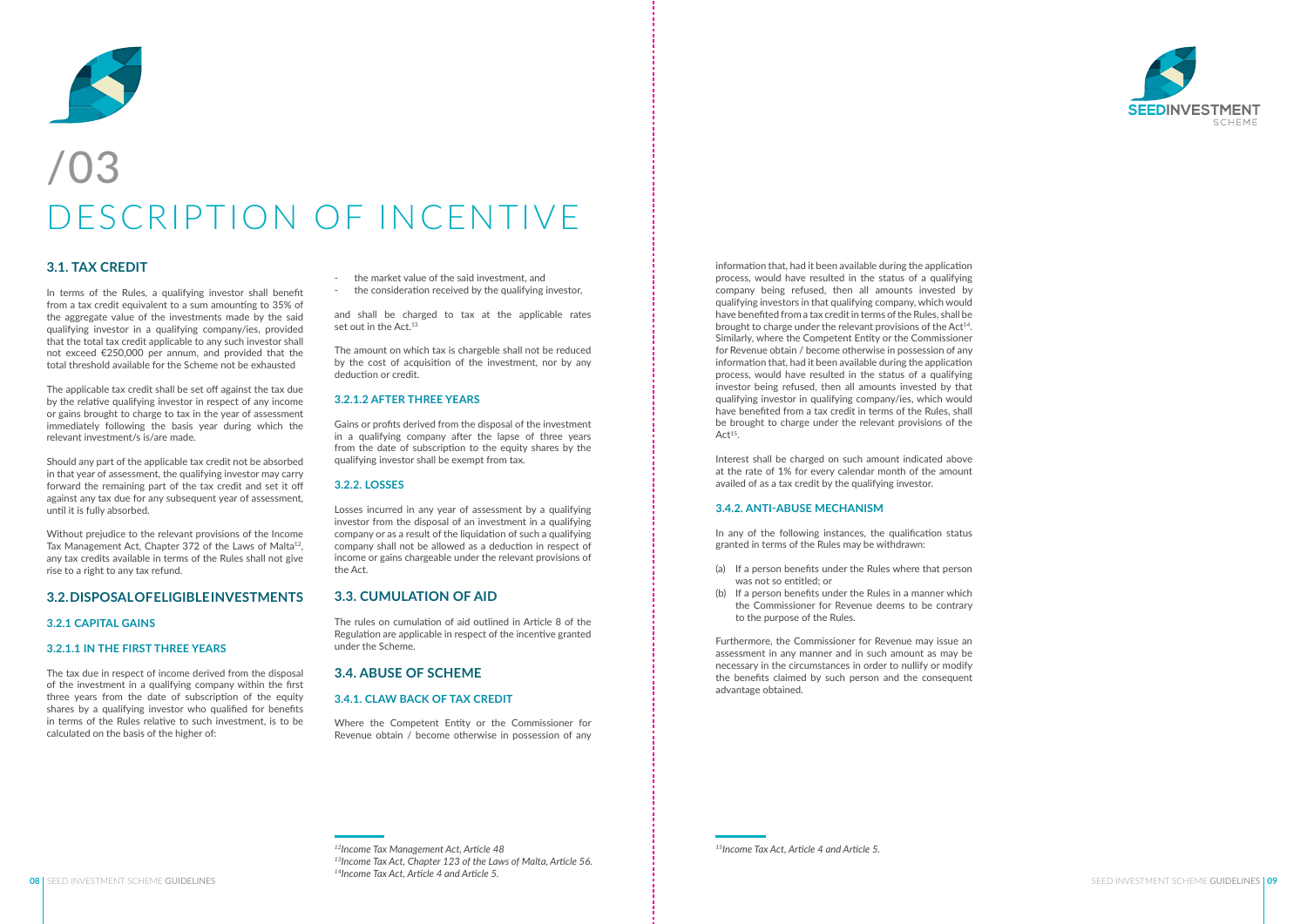#### **3.1. TAX CREDIT**

In terms of the Rules, a qualifying investor shall benefit from a tax credit equivalent to a sum amounting to 35% of the aggregate value of the investments made by the said qualifying investor in a qualifying company/ies, provided that the total tax credit applicable to any such investor shall not exceed €250,000 per annum, and provided that the total threshold available for the Scheme not be exhausted

The applicable tax credit shall be set off against the tax due by the relative qualifying investor in respect of any income or gains brought to charge to tax in the year of assessment immediately following the basis year during which the relevant investment/s is/are made.

and shall be charged to tax at the applicable rates set out in the Act.<sup>13</sup>

Should any part of the applicable tax credit not be absorbed in that year of assessment, the qualifying investor may carry forward the remaining part of the tax credit and set it off against any tax due for any subsequent year of assessment, until it is fully absorbed.

Without prejudice to the relevant provisions of the Income Tax Management Act, Chapter 372 of the Laws of Malta<sup>12</sup>, any tax credits available in terms of the Rules shall not give rise to a right to any tax refund.

#### **3.2. DISPOSAL OF ELIGIBLE INVESTMENTS**

#### **3.2.1 CAPITAL GAINS**

#### **3.2.1.1 IN THE FIRST THREE YEARS**

The tax due in respect of income derived from the disposal of the investment in a qualifying company within the first three years from the date of subscription of the equity shares by a qualifying investor who qualified for benefits in terms of the Rules relative to such investment, is to be calculated on the basis of the higher of:

information that, had it been available during the application process, would have resulted in the status of a qualifying company being refused, then all amounts invested by qualifying investors in that qualifying company, which would have benefited from a tax credit in terms of the Rules, shall be brought to charge under the relevant provisions of the Act<sup>14</sup>. Similarly, where the Competent Entity or the Commissioner for Revenue obtain / become otherwise in possession of any information that, had it been available during the application process, would have resulted in the status of a qualifying investor being refused, then all amounts invested by that qualifying investor in qualifying company/ies, which would have benefited from a tax credit in terms of the Rules, shall be brought to charge under the relevant provisions of the  $Act<sup>15</sup>$ .

- the market value of the said investment, and
- the consideration received by the qualifying investor,

The amount on which tax is chargeble shall not be reduced by the cost of acquisition of the investment, nor by any deduction or credit.

#### **3.2.1.2 AFTER THREE YEARS**

Gains or profits derived from the disposal of the investment in a qualifying company after the lapse of three years from the date of subscription to the equity shares by the qualifying investor shall be exempt from tax.

#### **3.2.2. LOSSES**

Losses incurred in any year of assessment by a qualifying investor from the disposal of an investment in a qualifying company or as a result of the liquidation of such a qualifying company shall not be allowed as a deduction in respect of income or gains chargeable under the relevant provisions of the Act.

#### **3.3. CUMULATION OF AID**

The rules on cumulation of aid outlined in Article 8 of the Regulation are applicable in respect of the incentive granted under the Scheme.

#### **3.4. ABUSE OF SCHEME**

#### **3.4.1. CLAW BACK OF TAX CREDIT**

Where the Competent Entity or the Commissioner for Revenue obtain / become otherwise in possession of any

*<sup>12</sup>Income Tax Management Act, Article 48 13Income Tax Act, Chapter 123 of the Laws of Malta, Article 56. <sup>14</sup>Income Tax Act, Article 4 and Article 5.*

*15Income Tax Act, Article 4 and Article 5.*



Interest shall be charged on such amount indicated above at the rate of 1% for every calendar month of the amount availed of as a tax credit by the qualifying investor.

#### **3.4.2. ANTI-ABUSE MECHANISM**

In any of the following instances, the qualification status granted in terms of the Rules may be withdrawn:

- (a) If a person benefits under the Rules where that person was not so entitled; or
- (b) If a person benefits under the Rules in a manner which the Commissioner for Revenue deems to be contrary to the purpose of the Rules.

Furthermore, the Commissioner for Revenue may issue an assessment in any manner and in such amount as may be necessary in the circumstances in order to nullify or modify the benefits claimed by such person and the consequent advantage obtained.



### /03 DESCRIPTION OF INCENTIVE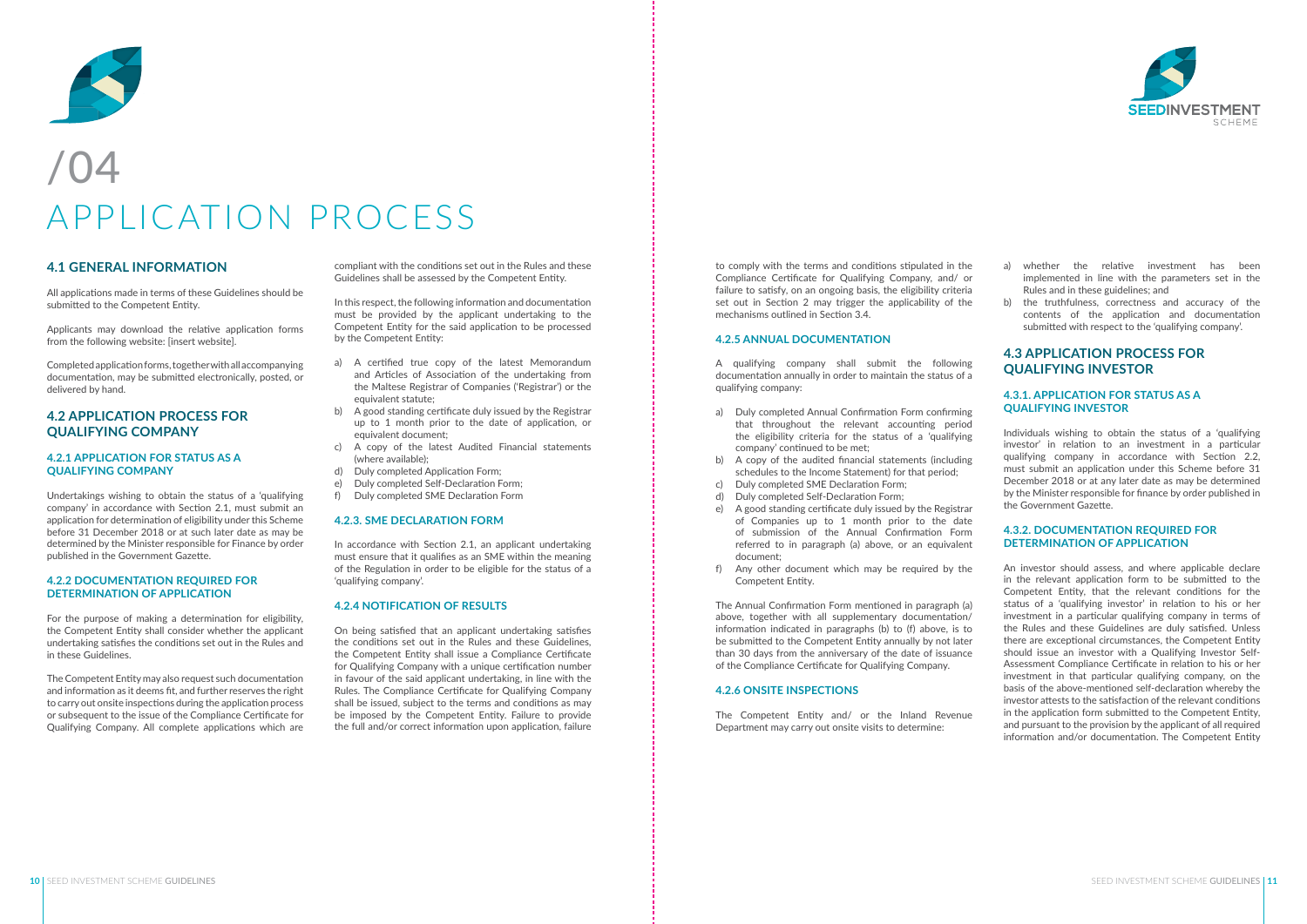compliant with the conditions set out in the Rules and these Guidelines shall be assessed by the Competent Entity.

In this respect, the following information and documentation must be provided by the applicant undertaking to the Competent Entity for the said application to be processed by the Competent Entity:

- a) A certified true copy of the latest Memorandum and Articles of Association of the undertaking from the Maltese Registrar of Companies ('Registrar') or the equivalent statute;
- b) A good standing certificate duly issued by the Registrar up to 1 month prior to the date of application, or equivalent document;
- c) A copy of the latest Audited Financial statements (where available);
- d) Duly completed Application Form;
- e) Duly completed Self-Declaration Form;
- f) Duly completed SME Declaration Form

#### **4.2.3. SME DECLARATION FORM**

In accordance with Section 2.1, an applicant undertaking must ensure that it qualifies as an SME within the meaning of the Regulation in order to be eligible for the status of a 'qualifying company'.

#### **4.2.4 NOTIFICATION OF RESULTS**

On being satisfied that an applicant undertaking satisfies the conditions set out in the Rules and these Guidelines, the Competent Entity shall issue a Compliance Certificate for Qualifying Company with a unique certification number in favour of the said applicant undertaking, in line with the Rules. The Compliance Certificate for Qualifying Company shall be issued, subject to the terms and conditions as may be imposed by the Competent Entity. Failure to provide the full and/or correct information upon application, failure

to comply with the terms and conditions stipulated in the Compliance Certificate for Qualifying Company, and/ or failure to satisfy, on an ongoing basis, the eligibility criteria set out in Section 2 may trigger the applicability of the mechanisms outlined in Section 3.4.

#### **4.2.5 ANNUAL DOCUMENTATION**

A qualifying company shall submit the following documentation annually in order to maintain the status of a qualifying company:

- a) Duly completed Annual Confirmation Form confirming that throughout the relevant accounting period the eligibility criteria for the status of a 'qualifying company' continued to be met;
- b) A copy of the audited financial statements (including schedules to the Income Statement) for that period;
- c) Duly completed SME Declaration Form; d) Duly completed Self-Declaration Form;
- e) A good standing certificate duly issued by the Registrar of Companies up to 1 month prior to the date of submission of the Annual Confirmation Form referred to in paragraph (a) above, or an equivalent document;
- f) Any other document which may be required by the Competent Entity.

The Annual Confirmation Form mentioned in paragraph (a) above, together with all supplementary documentation/ information indicated in paragraphs (b) to (f) above, is to be submitted to the Competent Entity annually by not later than 30 days from the anniversary of the date of issuance of the Compliance Certificate for Qualifying Company.

#### **4.2.6 ONSITE INSPECTIONS**

The Competent Entity and/ or the Inland Revenue Department may carry out onsite visits to determine:



- a) whether the relative investment has been implemented in line with the parameters set in the Rules and in these guidelines; and
- b) the truthfulness, correctness and accuracy of the contents of the application and documentation submitted with respect to the 'qualifying company'.

#### **4.3 APPLICATION PROCESS FOR QUALIFYING INVESTOR**

#### **4.3.1. APPLICATION FOR STATUS AS A QUALIFYING INVESTOR**

Individuals wishing to obtain the status of a 'qualifying investor' in relation to an investment in a particular qualifying company in accordance with Section 2.2, must submit an application under this Scheme before 31 December 2018 or at any later date as may be determined by the Minister responsible for finance by order published in the Government Gazette.

#### **4.3.2. DOCUMENTATION REQUIRED FOR DETERMINATION OF APPLICATION**

An investor should assess, and where applicable declare in the relevant application form to be submitted to the Competent Entity, that the relevant conditions for the status of a 'qualifying investor' in relation to his or her investment in a particular qualifying company in terms of the Rules and these Guidelines are duly satisfied. Unless there are exceptional circumstances, the Competent Entity should issue an investor with a Qualifying Investor Self-Assessment Compliance Certificate in relation to his or her investment in that particular qualifying company, on the basis of the above-mentioned self-declaration whereby the investor attests to the satisfaction of the relevant conditions in the application form submitted to the Competent Entity, and pursuant to the provision by the applicant of all required information and/or documentation. The Competent Entity



## APPLICATION PROCESS

#### **4.1 GENERAL INFORMATION**

All applications made in terms of these Guidelines should be submitted to the Competent Entity.

Applicants may download the relative application forms from the following website: [insert website].

Completed application forms, together with all accompanying documentation, may be submitted electronically, posted, or delivered by hand.

#### **4.2 APPLICATION PROCESS FOR QUALIFYING COMPANY**

#### **4.2.1 APPLICATION FOR STATUS AS A QUALIFYING COMPANY**

Undertakings wishing to obtain the status of a 'qualifying company' in accordance with Section 2.1, must submit an application for determination of eligibility under this Scheme before 31 December 2018 or at such later date as may be determined by the Minister responsible for Finance by order published in the Government Gazette.

#### **4.2.2 DOCUMENTATION REQUIRED FOR DETERMINATION OF APPLICATION**

For the purpose of making a determination for eligibility, the Competent Entity shall consider whether the applicant undertaking satisfies the conditions set out in the Rules and in these Guidelines.

The Competent Entity may also request such documentation and information as it deems fit, and further reserves the right to carry out onsite inspections during the application process or subsequent to the issue of the Compliance Certificate for Qualifying Company. All complete applications which are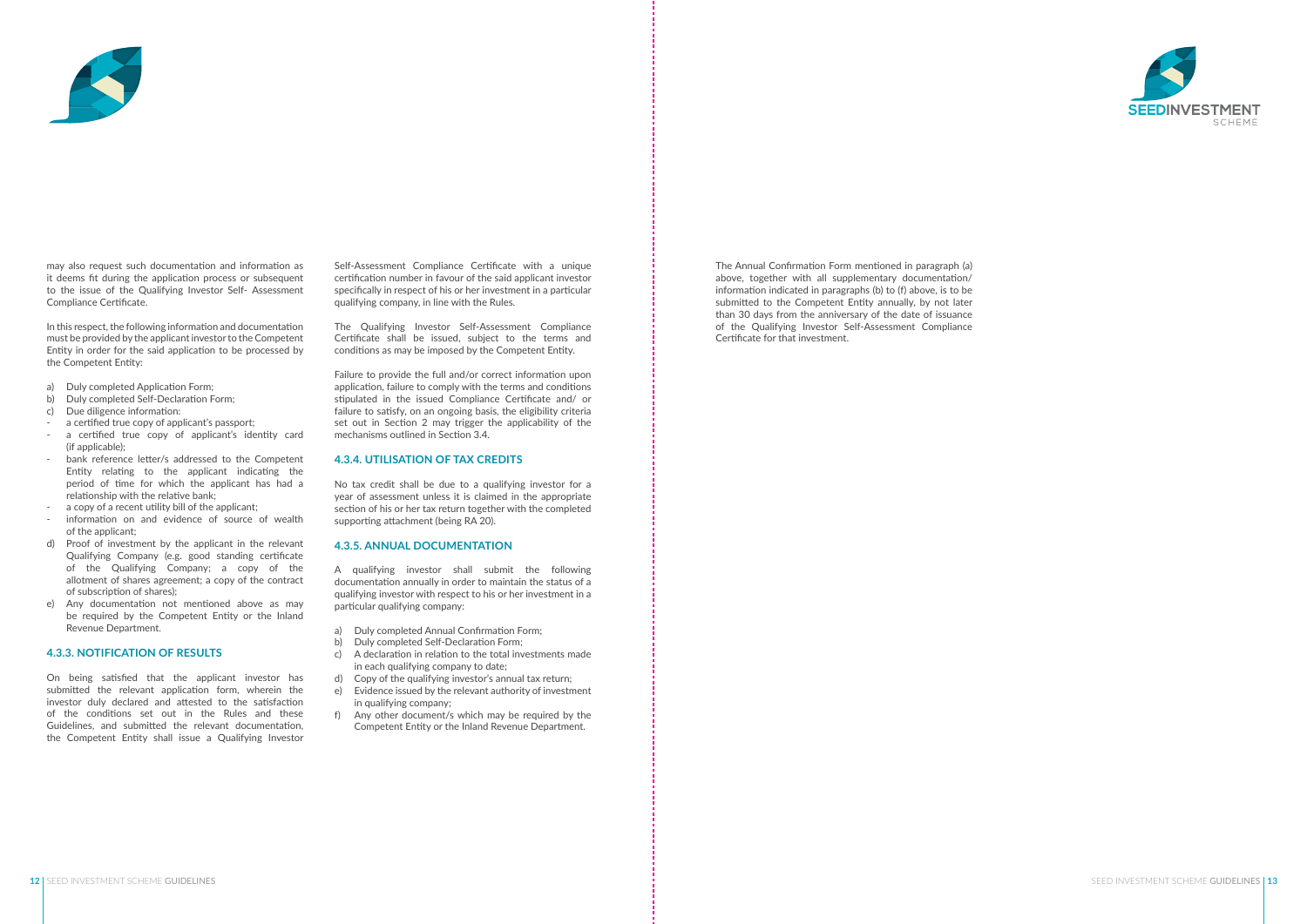Self-Assessment Compliance Certificate with a unique certification number in favour of the said applicant investor specifically in respect of his or her investment in a particular qualifying company, in line with the Rules.

The Qualifying Investor Self-Assessment Compliance Certificate shall be issued, subject to the terms and conditions as may be imposed by the Competent Entity.

Failure to provide the full and/or correct information upon application, failure to comply with the terms and conditions stipulated in the issued Compliance Certificate and/ or failure to satisfy, on an ongoing basis, the eligibility criteria set out in Section 2 may trigger the applicability of the mechanisms outlined in Section 3.4.

#### **4.3.4. UTILISATION OF TAX CREDITS**

No tax credit shall be due to a qualifying investor for a year of assessment unless it is claimed in the appropriate section of his or her tax return together with the completed supporting attachment (being RA 20).

#### **4.3.5. ANNUAL DOCUMENTATION**

A qualifying investor shall submit the following documentation annually in order to maintain the status of a qualifying investor with respect to his or her investment in a particular qualifying company:

- a) Duly completed Annual Confirmation Form;
- b) Duly completed Self-Declaration Form;
- c) A declaration in relation to the total investments made in each qualifying company to date;
- d) Copy of the qualifying investor's annual tax return;
- e) Evidence issued by the relevant authority of investment in qualifying company;
- f) Any other document/s which may be required by the Competent Entity or the Inland Revenue Department.

The Annual Confirmation Form mentioned in paragraph (a) above, together with all supplementary documentation/ information indicated in paragraphs (b) to (f) above, is to be submitted to the Competent Entity annually, by not later than 30 days from the anniversary of the date of issuance of the Qualifying Investor Self-Assessment Compliance Certificate for that investment.





may also request such documentation and information as it deems fit during the application process or subsequent to the issue of the Qualifying Investor Self- Assessment Compliance Certificate.

In this respect, the following information and documentation must be provided by the applicant investor to the Competent Entity in order for the said application to be processed by the Competent Entity:

- a) Duly completed Application Form;
- b) Duly completed Self-Declaration Form;
- c) Due diligence information:
- 
- a certified true copy of applicant's passport;<br>a certified true copy of applicant's identity card (if applicable);
- bank reference letter/s addressed to the Competent Entity relating to the applicant indicating the period of time for which the applicant has had a relationship with the relative bank;
- a copy of a recent utility bill of the applicant;
- information on and evidence of source of wealth of the applicant;
- d) Proof of investment by the applicant in the relevant Qualifying Company (e.g. good standing certificate of the Qualifying Company; a copy of the allotment of shares agreement; a copy of the contract of subscription of shares);
- e) Any documentation not mentioned above as may be required by the Competent Entity or the Inland Revenue Department.

#### **4.3.3. NOTIFICATION OF RESULTS**

On being satisfied that the applicant investor has submitted the relevant application form, wherein the investor duly declared and attested to the satisfaction of the conditions set out in the Rules and these Guidelines, and submitted the relevant documentation, the Competent Entity shall issue a Qualifying Investor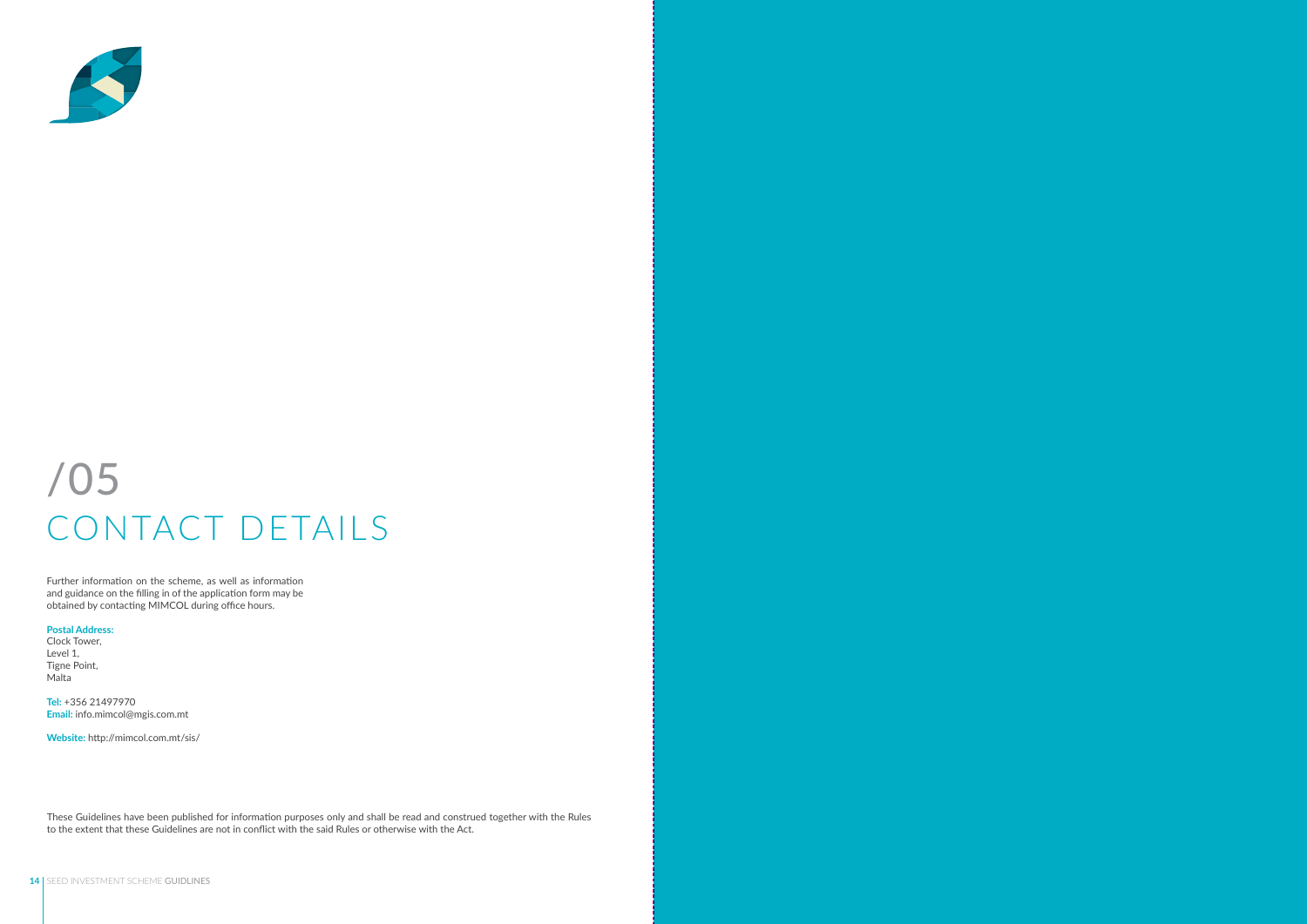Further information on the scheme, as well as information and guidance on the filling in of the application form may be obtained by contacting MIMCOL during office hours.

#### **Postal Address:**

Clock Tower, Level 1, Tigne Point, Malta

**Tel:** +356 21497970 **Email:** info.mimcol@mgis.com.mt

**Website:** http://mimcol.com.mt/sis/



### /05 CONTACT DETAILS

These Guidelines have been published for information purposes only and shall be read and construed together with the Rules to the extent that these Guidelines are not in conflict with the said Rules or otherwise with the Act.